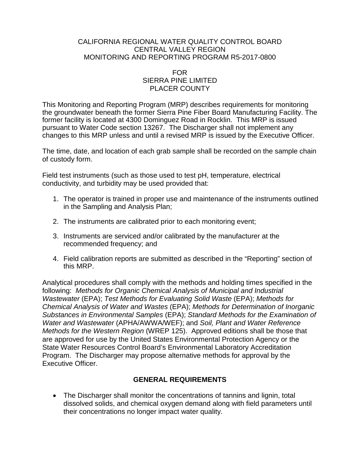#### CALIFORNIA REGIONAL WATER QUALITY CONTROL BOARD CENTRAL VALLEY REGION MONITORING AND REPORTING PROGRAM R5-2017-0800

#### FOR SIERRA PINE LIMITED PLACER COUNTY

This Monitoring and Reporting Program (MRP) describes requirements for monitoring the groundwater beneath the former Sierra Pine Fiber Board Manufacturing Facility. The former facility is located at 4300 Dominguez Road in Rocklin. This MRP is issued pursuant to Water Code section 13267. The Discharger shall not implement any changes to this MRP unless and until a revised MRP is issued by the Executive Officer.

The time, date, and location of each grab sample shall be recorded on the sample chain of custody form.

Field test instruments (such as those used to test pH, temperature, electrical conductivity, and turbidity may be used provided that:

- 1. The operator is trained in proper use and maintenance of the instruments outlined in the Sampling and Analysis Plan;
- 2. The instruments are calibrated prior to each monitoring event;
- 3. Instruments are serviced and/or calibrated by the manufacturer at the recommended frequency; and
- 4. Field calibration reports are submitted as described in the "Reporting" section of this MRP.

Analytical procedures shall comply with the methods and holding times specified in the following: *Methods for Organic Chemical Analysis of Municipal and Industrial Wastewater* (EPA); *Test Methods for Evaluating Solid Waste* (EPA); *Methods for Chemical Analysis of Water and Wastes* (EPA); *Methods for Determination of Inorganic Substances in Environmental Samples* (EPA); *Standard Methods for the Examination of Water and Wastewater* (APHA/AWWA/WEF); and *Soil, Plant and Water Reference Methods for the Western Region* (WREP 125). Approved editions shall be those that are approved for use by the United States Environmental Protection Agency or the State Water Resources Control Board's Environmental Laboratory Accreditation Program. The Discharger may propose alternative methods for approval by the Executive Officer.

## **GENERAL REQUIREMENTS**

• The Discharger shall monitor the concentrations of tannins and lignin, total dissolved solids, and chemical oxygen demand along with field parameters until their concentrations no longer impact water quality.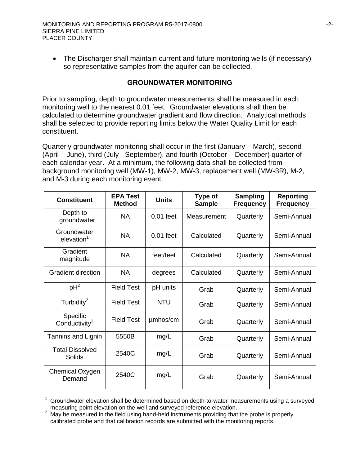• The Discharger shall maintain current and future monitoring wells (if necessary) so representative samples from the aquifer can be collected.

#### **GROUNDWATER MONITORING**

Prior to sampling, depth to groundwater measurements shall be measured in each monitoring well to the nearest 0.01 feet. Groundwater elevations shall then be calculated to determine groundwater gradient and flow direction. Analytical methods shall be selected to provide reporting limits below the Water Quality Limit for each constituent.

Quarterly groundwater monitoring shall occur in the first (January – March), second (April – June), third (July - September), and fourth (October – December) quarter of each calendar year. At a minimum, the following data shall be collected from background monitoring well (MW-1), MW-2, MW-3, replacement well (MW-3R), M-2, and M-3 during each monitoring event.

| <b>Constituent</b>                    | <b>EPA Test</b><br><b>Method</b> | <b>Units</b> | <b>Type of</b><br><b>Sample</b> | <b>Sampling</b><br><b>Frequency</b> | Reporting<br><b>Frequency</b> |
|---------------------------------------|----------------------------------|--------------|---------------------------------|-------------------------------------|-------------------------------|
| Depth to<br>groundwater               | <b>NA</b>                        | $0.01$ feet  | Measurement                     | Quarterly                           | Semi-Annual                   |
| Groundwater<br>elevation <sup>1</sup> | <b>NA</b>                        | $0.01$ feet  | Calculated                      | Quarterly                           | Semi-Annual                   |
| Gradient<br>magnitude                 | <b>NA</b>                        | feet/feet    | Calculated                      | Quarterly                           | Semi-Annual                   |
| Gradient direction                    | <b>NA</b>                        | degrees      | Calculated                      | Quarterly                           | Semi-Annual                   |
| $pH^2$                                | <b>Field Test</b>                | pH units     | Grab                            | Quarterly                           | Semi-Annual                   |
| Turbidity <sup>2</sup>                | <b>Field Test</b>                | <b>NTU</b>   | Grab                            | Quarterly                           | Semi-Annual                   |
| Specific<br>Conductivity <sup>2</sup> | <b>Field Test</b>                | umhos/cm     | Grab                            | Quarterly                           | Semi-Annual                   |
| Tannins and Lignin                    | 5550B                            | mg/L         | Grab                            | Quarterly                           | Semi-Annual                   |
| <b>Total Dissolved</b><br>Solids      | 2540C                            | mg/L         | Grab                            | Quarterly                           | Semi-Annual                   |
| Chemical Oxygen<br>Demand             | 2540C                            | mg/L         | Grab                            | Quarterly                           | Semi-Annual                   |

<sup>1</sup> Groundwater elevation shall be determined based on depth-to-water measurements using a surveyed measuring point elevation on the well and surveyed reference elevation.

May be measured in the field using hand-held instruments providing that the probe is properly calibrated probe and that calibration records are submitted with the monitoring reports.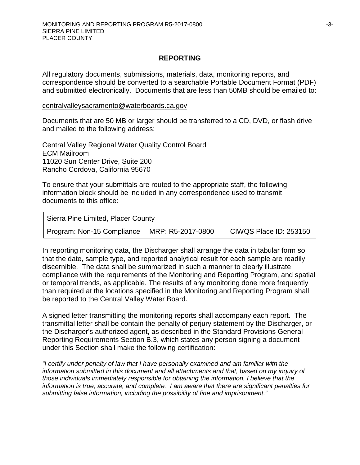### **REPORTING**

All regulatory documents, submissions, materials, data, monitoring reports, and correspondence should be converted to a searchable Portable Document Format (PDF) and submitted electronically. Documents that are less than 50MB should be emailed to:

[centralvalleysacramento@waterboards.ca.gov](mailto:centralvalleysacramento@waterboards.ca.gov)

Documents that are 50 MB or larger should be transferred to a CD, DVD, or flash drive and mailed to the following address:

Central Valley Regional Water Quality Control Board ECM Mailroom 11020 Sun Center Drive, Suite 200 Rancho Cordova, California 95670

To ensure that your submittals are routed to the appropriate staff, the following information block should be included in any correspondence used to transmit documents to this office:

| Sierra Pine Limited, Placer County             |  |                        |  |  |  |  |
|------------------------------------------------|--|------------------------|--|--|--|--|
| Program: Non-15 Compliance   MRP: R5-2017-0800 |  | CIWQS Place ID: 253150 |  |  |  |  |

In reporting monitoring data, the Discharger shall arrange the data in tabular form so that the date, sample type, and reported analytical result for each sample are readily discernible. The data shall be summarized in such a manner to clearly illustrate compliance with the requirements of the Monitoring and Reporting Program, and spatial or temporal trends, as applicable. The results of any monitoring done more frequently than required at the locations specified in the Monitoring and Reporting Program shall be reported to the Central Valley Water Board.

A signed letter transmitting the monitoring reports shall accompany each report. The transmittal letter shall be contain the penalty of perjury statement by the Discharger, or the Discharger's authorized agent, as described in the Standard Provisions General Reporting Requirements Section B.3, which states any person signing a document under this Section shall make the following certification:

*"I certify under penalty of law that I have personally examined and am familiar with the information submitted in this document and all attachments and that, based on my inquiry of those individuals immediately responsible for obtaining the information, I believe that the information is true, accurate, and complete. I am aware that there are significant penalties for submitting false information, including the possibility of fine and imprisonment."*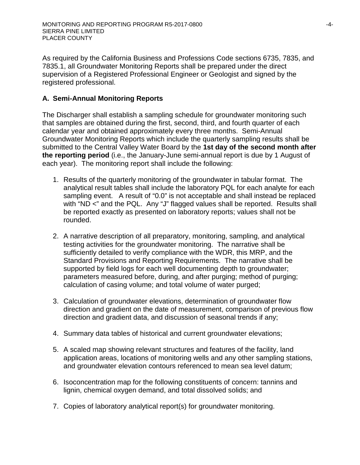As required by the California Business and Professions Code sections 6735, 7835, and 7835.1, all Groundwater Monitoring Reports shall be prepared under the direct supervision of a Registered Professional Engineer or Geologist and signed by the registered professional.

# **A. Semi-Annual Monitoring Reports**

The Discharger shall establish a sampling schedule for groundwater monitoring such that samples are obtained during the first, second, third, and fourth quarter of each calendar year and obtained approximately every three months. Semi-Annual Groundwater Monitoring Reports which include the quarterly sampling results shall be submitted to the Central Valley Water Board by the **1st day of the second month after the reporting period** (i.e., the January-June semi-annual report is due by 1 August of each year). The monitoring report shall include the following:

- 1. Results of the quarterly monitoring of the groundwater in tabular format. The analytical result tables shall include the laboratory PQL for each analyte for each sampling event. A result of "0.0" is not acceptable and shall instead be replaced with "ND <" and the PQL. Any "J" flagged values shall be reported. Results shall be reported exactly as presented on laboratory reports; values shall not be rounded.
- 2. A narrative description of all preparatory, monitoring, sampling, and analytical testing activities for the groundwater monitoring. The narrative shall be sufficiently detailed to verify compliance with the WDR, this MRP, and the Standard Provisions and Reporting Requirements. The narrative shall be supported by field logs for each well documenting depth to groundwater; parameters measured before, during, and after purging; method of purging; calculation of casing volume; and total volume of water purged;
- 3. Calculation of groundwater elevations, determination of groundwater flow direction and gradient on the date of measurement, comparison of previous flow direction and gradient data, and discussion of seasonal trends if any;
- 4. Summary data tables of historical and current groundwater elevations;
- 5. A scaled map showing relevant structures and features of the facility, land application areas, locations of monitoring wells and any other sampling stations, and groundwater elevation contours referenced to mean sea level datum;
- 6. Isoconcentration map for the following constituents of concern: tannins and lignin, chemical oxygen demand, and total dissolved solids; and
- 7. Copies of laboratory analytical report(s) for groundwater monitoring.